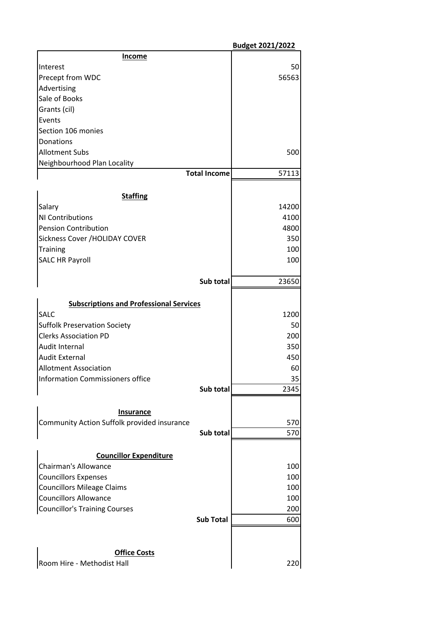|                                                                 |                     | <b>Budget 2021/2022</b> |
|-----------------------------------------------------------------|---------------------|-------------------------|
| <u>Income</u>                                                   |                     |                         |
| Interest                                                        |                     | 50                      |
| Precept from WDC                                                |                     | 56563                   |
| Advertising                                                     |                     |                         |
| Sale of Books                                                   |                     |                         |
| Grants (cil)                                                    |                     |                         |
| Events                                                          |                     |                         |
| Section 106 monies                                              |                     |                         |
| Donations                                                       |                     |                         |
| <b>Allotment Subs</b>                                           |                     | 500                     |
| Neighbourhood Plan Locality                                     |                     |                         |
|                                                                 | <b>Total Income</b> | 57113                   |
| <b>Staffing</b>                                                 |                     |                         |
| Salary                                                          |                     | 14200                   |
| NI Contributions                                                |                     | 4100                    |
| <b>Pension Contribution</b>                                     |                     | 4800                    |
| Sickness Cover / HOLIDAY COVER                                  |                     | 350                     |
| <b>Training</b>                                                 |                     | 100                     |
| <b>SALC HR Payroll</b>                                          |                     | 100                     |
|                                                                 |                     |                         |
|                                                                 | Sub total           | 23650                   |
| <b>Subscriptions and Professional Services</b>                  |                     |                         |
| <b>SALC</b>                                                     |                     | 1200                    |
| <b>Suffolk Preservation Society</b>                             |                     | 50                      |
| <b>Clerks Association PD</b>                                    |                     | 200                     |
| Audit Internal                                                  |                     | 350                     |
| <b>Audit External</b>                                           |                     | 450                     |
| <b>Allotment Association</b>                                    |                     | 60                      |
| <b>Information Commissioners office</b>                         |                     | 35                      |
|                                                                 | Sub total           | 2345                    |
|                                                                 |                     |                         |
| <b>Insurance</b><br>Community Action Suffolk provided insurance |                     | 570                     |
|                                                                 | Sub total           | 570                     |
|                                                                 |                     |                         |
| <b>Councillor Expenditure</b>                                   |                     |                         |
| <b>Chairman's Allowance</b>                                     |                     | 100                     |
| <b>Councillors Expenses</b>                                     |                     | 100                     |
| <b>Councillors Mileage Claims</b>                               |                     | 100                     |
| <b>Councillors Allowance</b>                                    |                     | 100                     |
| <b>Councillor's Training Courses</b>                            |                     | 200                     |
|                                                                 | <b>Sub Total</b>    | 600                     |
|                                                                 |                     |                         |
| <b>Office Costs</b>                                             |                     |                         |
| Room Hire - Methodist Hall                                      |                     | 220                     |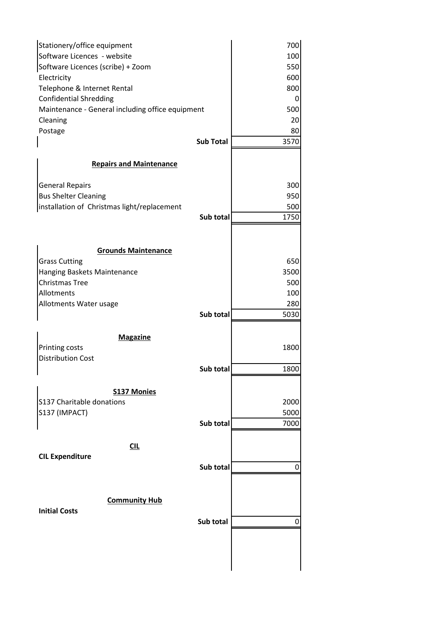| Stationery/office equipment                      |                  | 700  |  |
|--------------------------------------------------|------------------|------|--|
| Software Licences - website                      |                  | 100  |  |
| Software Licences (scribe) + Zoom                |                  | 550  |  |
| Electricity                                      |                  | 600  |  |
| Telephone & Internet Rental                      |                  | 800  |  |
| <b>Confidential Shredding</b>                    |                  | 0    |  |
| Maintenance - General including office equipment |                  | 500  |  |
| Cleaning                                         |                  | 20   |  |
| Postage                                          |                  | 80   |  |
|                                                  | <b>Sub Total</b> | 3570 |  |
| <b>Repairs and Maintenance</b>                   |                  |      |  |
|                                                  |                  |      |  |
| <b>General Repairs</b>                           |                  | 300  |  |
| <b>Bus Shelter Cleaning</b>                      |                  | 950  |  |
| installation of Christmas light/replacement      |                  | 500  |  |
|                                                  | Sub total        | 1750 |  |
|                                                  |                  |      |  |
| <b>Grounds Maintenance</b>                       |                  |      |  |
| <b>Grass Cutting</b>                             |                  | 650  |  |
| Hanging Baskets Maintenance                      |                  | 3500 |  |
| <b>Christmas Tree</b>                            |                  | 500  |  |
| Allotments                                       |                  | 100  |  |
| Allotments Water usage                           |                  | 280  |  |
|                                                  | Sub total        | 5030 |  |
|                                                  |                  |      |  |
| <b>Magazine</b>                                  |                  |      |  |
| Printing costs                                   |                  | 1800 |  |
| <b>Distribution Cost</b>                         |                  |      |  |
|                                                  | Sub total        | 1800 |  |
| <b>S137 Monies</b>                               |                  |      |  |
| S137 Charitable donations                        |                  | 2000 |  |
| S137 (IMPACT)                                    |                  | 5000 |  |
|                                                  | Sub total        | 7000 |  |
|                                                  |                  |      |  |
| CL                                               |                  |      |  |
| <b>CIL Expenditure</b>                           |                  |      |  |
|                                                  | Sub total        | 0    |  |
|                                                  |                  |      |  |
| <b>Community Hub</b>                             |                  |      |  |
| <b>Initial Costs</b>                             |                  |      |  |
|                                                  | Sub total        | 0    |  |
|                                                  |                  |      |  |
|                                                  |                  |      |  |
|                                                  |                  |      |  |
|                                                  |                  |      |  |